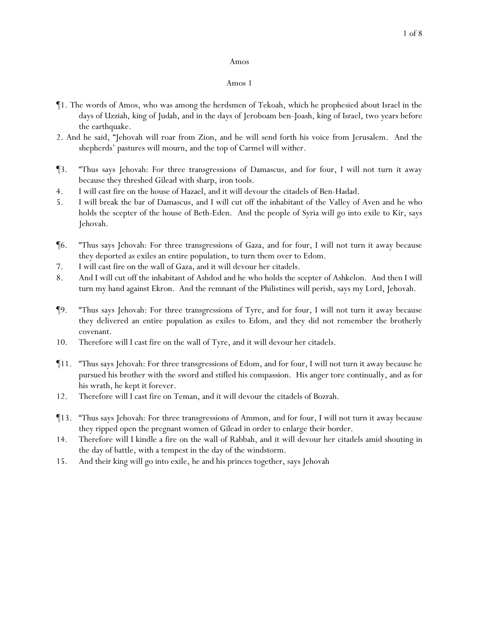## 1 of 8

#### Amos

- ¶1. The words of Amos, who was among the herdsmen of Tekoah, which he prophesied about Israel in the days of Uzziah, king of Judah, and in the days of Jeroboam ben-Joash, king of Israel, two years before the earthquake.
- 2. And he said, "Jehovah will roar from Zion, and he will send forth his voice from Jerusalem. And the shepherds' pastures will mourn, and the top of Carmel will wither.
- ¶3. "Thus says Jehovah: For three transgressions of Damascus, and for four, I will not turn it away because they threshed Gilead with sharp, iron tools.
- 4. I will cast fire on the house of Hazael, and it will devour the citadels of Ben-Hadad.
- 5. I will break the bar of Damascus, and I will cut off the inhabitant of the Valley of Aven and he who holds the scepter of the house of Beth-Eden. And the people of Syria will go into exile to Kir, says Jehovah.
- ¶6. "Thus says Jehovah: For three transgressions of Gaza, and for four, I will not turn it away because they deported as exiles an entire population, to turn them over to Edom.
- 7. I will cast fire on the wall of Gaza, and it will devour her citadels.
- 8. And I will cut off the inhabitant of Ashdod and he who holds the scepter of Ashkelon. And then I will turn my hand against Ekron. And the remnant of the Philistines will perish, says my Lord, Jehovah.
- ¶9. "Thus says Jehovah: For three transgressions of Tyre, and for four, I will not turn it away because they delivered an entire population as exiles to Edom, and they did not remember the brotherly covenant.
- 10. Therefore will I cast fire on the wall of Tyre, and it will devour her citadels.
- ¶11. "Thus says Jehovah: For three transgressions of Edom, and for four, I will not turn it away because he pursued his brother with the sword and stifled his compassion. His anger tore continually, and as for his wrath, he kept it forever.
- 12. Therefore will I cast fire on Teman, and it will devour the citadels of Bozrah.
- ¶13. "Thus says Jehovah: For three transgressions of Ammon, and for four, I will not turn it away because they ripped open the pregnant women of Gilead in order to enlarge their border.
- 14. Therefore will I kindle a fire on the wall of Rabbah, and it will devour her citadels amid shouting in the day of battle, with a tempest in the day of the windstorm.
- 15. And their king will go into exile, he and his princes together, says Jehovah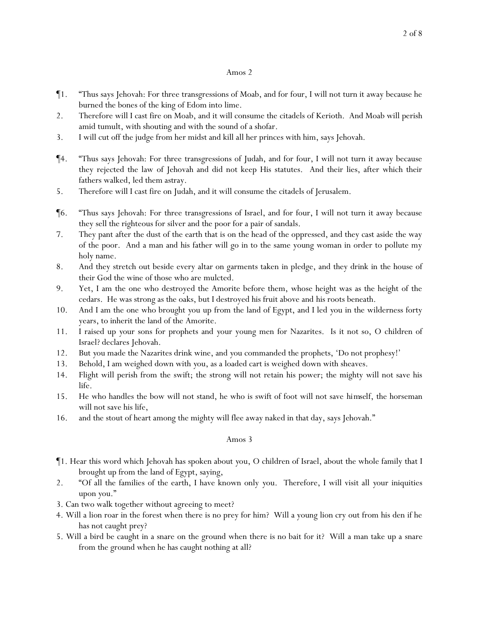- ¶1. "Thus says Jehovah: For three transgressions of Moab, and for four, I will not turn it away because he burned the bones of the king of Edom into lime.
- 2. Therefore will I cast fire on Moab, and it will consume the citadels of Kerioth. And Moab will perish amid tumult, with shouting and with the sound of a shofar.
- 3. I will cut off the judge from her midst and kill all her princes with him, says Jehovah.
- ¶4. "Thus says Jehovah: For three transgressions of Judah, and for four, I will not turn it away because they rejected the law of Jehovah and did not keep His statutes. And their lies, after which their fathers walked, led them astray.
- 5. Therefore will I cast fire on Judah, and it will consume the citadels of Jerusalem.
- ¶6. "Thus says Jehovah: For three transgressions of Israel, and for four, I will not turn it away because they sell the righteous for silver and the poor for a pair of sandals.
- 7. They pant after the dust of the earth that is on the head of the oppressed, and they cast aside the way of the poor. And a man and his father will go in to the same young woman in order to pollute my holy name.
- 8. And they stretch out beside every altar on garments taken in pledge, and they drink in the house of their God the wine of those who are mulcted.
- 9. Yet, I am the one who destroyed the Amorite before them, whose height was as the height of the cedars. He was strong as the oaks, but I destroyed his fruit above and his roots beneath.
- 10. And I am the one who brought *y*ou up from the land of Egypt, and I led *y*ou in the wilderness forty years, to inherit the land of the Amorite.
- 11. I raised up *y*our sons for prophets and *y*our young men for Nazarites. Is it not so, O children of Israel? declares Jehovah.
- 12. But *y*ou made the Nazarites drink wine, and *y*ou commanded the prophets, 'Do not prophesy!'
- 13. Behold, I am weighed down with *y*ou, as a loaded cart is weighed down with sheaves.
- 14. Flight will perish from the swift; the strong will not retain his power; the mighty will not save his life.
- 15. He who handles the bow will not stand, he who is swift of foot will not save *himself*, the horseman will not save his life,
- 16. and the stout of heart among the mighty will flee away naked in that day, says Jehovah."

- ¶1. Hear this word which Jehovah has spoken about *y*ou, O children of Israel, about the whole family that I brought up from the land of Egypt, saying,
- 2. "Of all the families of the earth, I have known only *y*ou. Therefore, I will visit all *y*our iniquities upon *y*ou."
- 3. Can two walk together without agreeing to meet?
- 4. Will a lion roar in the forest when there is no prey for him? Will a young lion cry out from his den if he has not caught *prey*?
- 5. Will a bird be caught in a snare on the ground when there is no bait for it? Will a man take up a snare from the ground when he has caught nothing at all?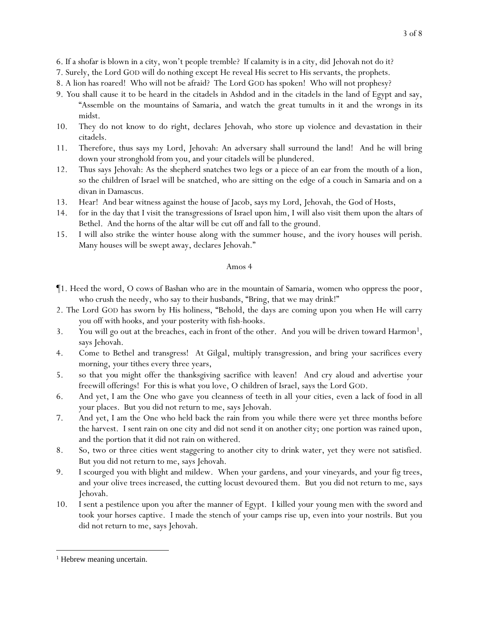- 6. If a shofar is blown in a city, won't people tremble? If calamity is in a city, did Jehovah not do it?
- 7. Surely, the Lord GOD will do nothing except He reveal His secret to His servants, the prophets.
- 8. A lion has roared! Who will not be afraid? The Lord GOD has spoken! Who will not prophesy?
- 9. *Y*ou shall cause it to be heard in the citadels in Ashdod and in the citadels in the land of Egypt and say, "Assemble on the mountains of Samaria, and watch the great tumults in it and the wrongs in its midst.
- 10. They do not know to do right, declares Jehovah, who store up violence and devastation in their citadels.
- 11. Therefore, thus says my Lord, Jehovah: An adversary shall surround the land! And he will bring down your stronghold from you, and your citadels will be plundered.
- 12. Thus says Jehovah: As the shepherd snatches two legs or a piece of an ear from the mouth of a lion, so the children of Israel will be snatched, who are sitting on the edge of a couch in Samaria and on a divan in Damascus.
- 13. Hear! And bear witness against the house of Jacob, says my Lord, Jehovah, the God of Hosts,
- 14. for in the day that I visit the transgressions of Israel upon him, I will also visit them upon the altars of Bethel. And the horns of the altar will be cut off and fall to the ground.
- 15. I will also strike the winter house along with *the* summer house, and the ivory houses will perish. Many houses will be swept away, declares Jehovah."

- ¶1. Heed the word, O cows of Bashan who are in the mountain of Samaria, women who oppress the poor, who crush the needy, who say to their husbands, "Bring, that we may drink!"
- 2. The Lord GOD has sworn by His holiness, "Behold, the days are coming upon *y*ou when He will carry *y*ou off with hooks, and *y*our posterity with fish-hooks.
- 3. You will go out at the breaches, each in front of the other. And you will be driven toward Harmon<sup>1</sup>, says Jehovah.
- 4. Come to Bethel and transgress! At Gilgal, multiply transgression, and bring *y*our sacrifices every morning, your tithes every three years,
- 5. so that *you* might offer the thanksgiving sacrifice with leaven! And cry aloud and advertise *your* freewill offerings! For this is what *y*ou love, O children of Israel, says the Lord GOD.
- 6. And yet, I am the One who gave *y*ou cleanness of teeth in all *y*our cities, even a lack of food in all *y*our places. But *y*ou did not return to me, says Jehovah.
- 7. And yet, I am the One who held back the rain from *y*ou while there were yet three months before the harvest. I sent rain on one city and did not send it on another city; one portion was rained upon, and the portion that it did not rain on withered.
- 8. So, two or three cities went staggering to another city to drink water, yet they were not satisfied. But *y*ou did not return to me, says Jehovah.
- 9. I scourged *y*ou with blight and mildew. When *y*our gardens, and *y*our vineyards, and *y*our fig trees, and *y*our olive trees increased, the cutting locust devoured them. But *y*ou did not return to me, says Jehovah.
- 10. I sent a pestilence upon *y*ou after the manner of Egypt. I killed *y*our young men with the sword and took *y*our horses captive. I made the stench of *y*our camps rise up, even into *y*our nostrils. But *y*ou did not return to me, says Jehovah.

<sup>&</sup>lt;sup>1</sup> Hebrew meaning uncertain.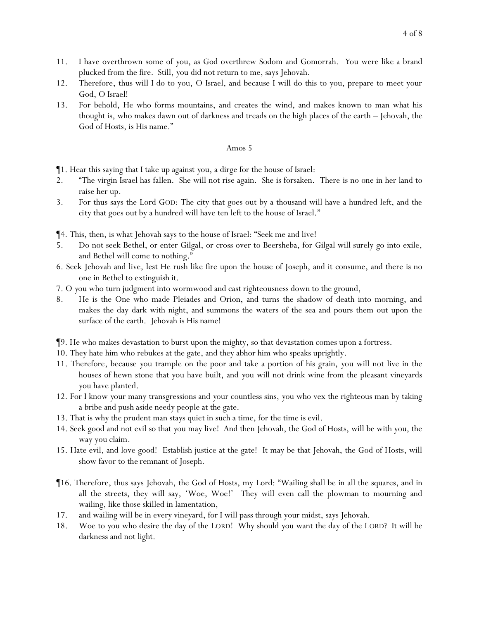- 11. I have overthrown some of *y*ou, as God overthrew Sodom and Gomorrah. *Y*ou were like a brand
- plucked from the fire. Still, *y*ou did not return to me, says Jehovah. 12. Therefore, thus will I do to you, O Israel, and because I will do this to you, prepare to meet your
- God, O Israel! 13. For behold, He who forms mountains, and creates the wind, and makes known to man what his
- thought is, who makes dawn out of darkness and treads on the high places of the earth Jehovah, the God of Hosts, is His name."

¶1. Hear this saying that I take up against *y*ou, a dirge for the house of Israel:

- 2. "The virgin Israel has fallen. She will not rise again. She is forsaken. There is no one in her land to raise her up.
- 3. For thus says the Lord GOD: The city that goes out by a thousand will have a hundred left, and the *city* that goes out by a hundred will have ten left to the house of Israel."

¶4. This, then, is what Jehovah says to the house of Israel: "Seek me and live!

- 5. Do not seek Bethel, or enter Gilgal, or cross over to Beersheba, for Gilgal will surely go into exile, and Bethel will come to nothing."
- 6. Seek Jehovah and live, lest He rush like fire upon the house of Joseph, and it consume, and there is no one in Bethel to extinguish it.
- 7. O *y*ou who turn judgment into wormwood and cast righteousness down to the ground,
- 8. He is the One who made Pleiades and Orion, and turns the shadow of death into morning, and makes the day dark with night, and summons the waters of the sea and pours them out upon the surface of the earth. Jehovah is His name!
- ¶9. He who makes devastation to burst upon the mighty, so that devastation comes upon a fortress.
- 10. They hate him who rebukes at the gate, and they abhor him who speaks uprightly.
- 11. Therefore, because *y*ou trample on the poor and take a portion of his grain, *y*ou will not live in the houses of hewn stone that *y*ou have built, and *y*ou will not drink wine from the pleasant vineyards *y*ou have planted.
- 12. For I know *y*our many transgressions and *y*our countless sins, *y*ou who vex the righteous man by taking a bribe and push aside needy people at the gate.
- 13. That is why the prudent man stays quiet in such a time, for the time is evil.
- 14. Seek good and not evil so that *y*ou may live! And then Jehovah, the God of Hosts, will be with you, the way you claim*.*
- 15. Hate evil, and love good! Establish justice at the gate! It may be that Jehovah, the God of Hosts, will show favor to *the* remnant of Joseph.
- ¶16. Therefore, thus says Jehovah, the God of Hosts, my Lord: "Wailing shall be in all the squares, and in all the streets, they will say, 'Woe, Woe!' They will even call the plowman to mourning and wailing, like those skilled in lamentation,
- 17. and wailing will be in every vineyard, for I will pass through your midst, says Jehovah.
- 18. Woe to *y*ou who desire the day of the LORD! Why should *y*ou want the day of the LORD? It will be darkness and not light.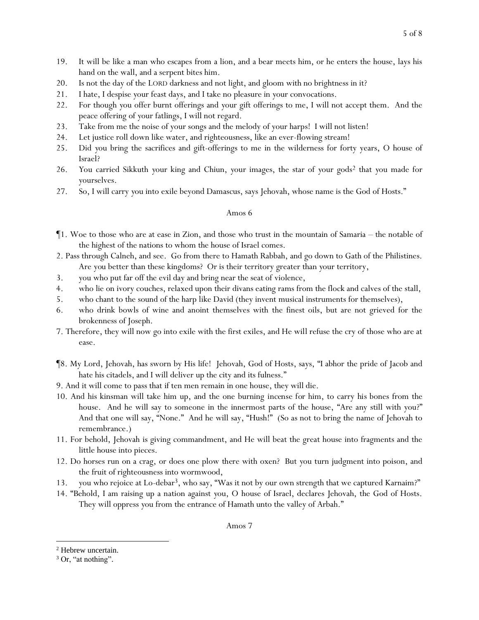- 19. It will be like a man who escapes from a lion, and a bear meets him, or he enters the house, lays his hand on the wall, and a serpent bites him.
- 20. Is not the day of the LORD darkness and not light, and gloom with no brightness in it?
- 21. I hate, I despise *y*our feast days, and I take no pleasure in *y*our convocations.
- 22. For though *y*ou offer burnt offerings and *y*our gift offerings to me, I will not accept them. And the peace offering of *y*our fatlings, I will not regard.
- 23. Take from me the noise of your songs and the melody of your harps! I will not listen!
- 24. Let justice roll down like water, and righteousness, like an ever-flowing stream!
- 25. Did *y*ou bring the sacrifices and gift-offerings to me in the wilderness for forty years, O house of Israel?
- 26. *Y*ou carried Sikkuth *y*our king and Chiun, *y*our images, the star of *y*our gods<sup>2</sup> that *y*ou made for *y*ourselves.
- 27. So, I will carry *y*ou into exile beyond Damascus, says Jehovah, whose name is the God of Hosts."

- $\P$ 1. Woe to those who are at ease in Zion, and those who trust in the mountain of Samaria the notable of the highest of the nations to whom the house of Israel comes.
- 2. Pass through Calneh, and see. Go from there to Hamath Rabbah, and go down to Gath of the Philistines. Are *you* better than these kingdoms? Or is their territory greater than *y*our territory,
- 3. *y*ou who put far off the evil day and bring near the seat of violence,
- 4. who lie on ivory couches, relaxed upon their divans eating rams from the flock and calves of the stall,
- 5. who chant to the sound of the harp like David (they invent musical instruments for themselves),
- 6. who drink bowls of wine and anoint themselves with the finest oils, but are not grieved for the brokenness of Joseph.
- 7. Therefore, they will now go into exile with the first exiles, and He will refuse the cry of those who are at ease.
- ¶8. My Lord, Jehovah, has sworn by His life! Jehovah, God of Hosts, says, "I abhor the pride of Jacob and hate his citadels, and I will deliver up the city and its fulness."
- 9. And it will come to pass that if ten men remain in one house, they will die.
- 10. And his kinsman will take him up, and the one burning *incense for* him, to carry *his* bones from the house. And he will say to someone in the innermost parts of the house, "Are *any* still with you?" And that one will say, "None." And he will say, "Hush!" (So as not to bring the name of Jehovah to remembrance.)
- 11. For behold, Jehovah is giving commandment, and He will beat the great house into fragments and the little house into pieces.
- 12. Do horses run on a crag, or does one plow *there* with oxen? But *y*ou turn judgment into poison, and the fruit of righteousness into wormwood,
- 13. *y*ou who rejoice at Lo-debar3, who say, "Was it not by our own strength that we captured Karnaim?"
- 14. "Behold, I am raising up a nation against *y*ou, O house of Israel, declares Jehovah, the God of Hosts. They will oppress *y*ou from the entrance of Hamath unto the valley of Arbah."

<sup>&</sup>lt;sup>2</sup> Hebrew uncertain.

<sup>&</sup>lt;sup>3</sup> Or, "at nothing".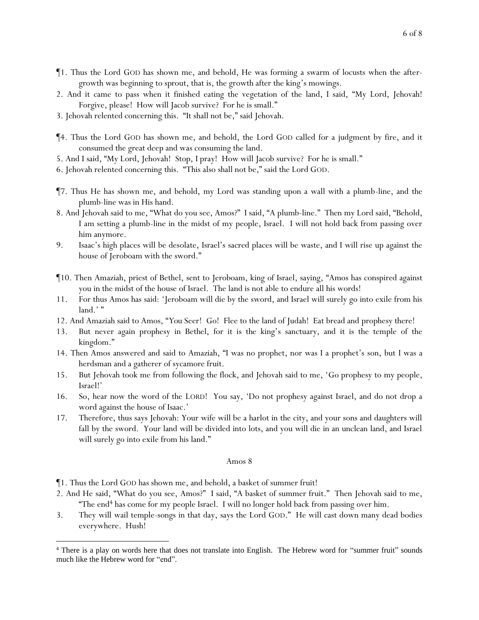- ¶1. Thus the Lord GOD has shown me, and behold, He was forming a swarm of locusts when the aftergrowth was beginning to sprout, that is, the growth after the king's mowings.
- 2. And it came to pass when it finished eating the vegetation of the land, I said, "My Lord, Jehovah! Forgive, please! How will Jacob survive? For he is small."
- 3. Jehovah relented concerning this. "It shall not be," said Jehovah.
- ¶4. Thus the Lord GOD has shown me, and behold, the Lord GOD called for a judgment by fire, and it consumed the great deep and was consuming the land.
- 5. And I said, "My Lord, Jehovah! Stop, I pray! How will Jacob survive? For he is small."
- 6. Jehovah relented concerning this. "This also shall not be," said the Lord GOD.
- ¶7. Thus He has shown me, and behold, my Lord was standing upon a wall with a plumb-line, and the plumb-line was in His hand.
- 8. And Jehovah said to me, "What do you see, Amos?" I said, "A plumb-line." Then my Lord said, "Behold, I am setting a plumb-line in the midst of my people, Israel. I will not hold back from passing over him anymore.
- 9. Isaac's high places will be desolate, Israel's sacred places will be waste, and I will rise up against the house of Jeroboam with the sword."
- ¶10. Then Amaziah, priest of Bethel, sent to Jeroboam, king of Israel, saying, "Amos has conspired against you in the midst of the house of Israel. The land is not able to endure all his words!
- 11. For thus Amos has said: 'Jeroboam will die by the sword, and Israel will surely go into exile from his land.'"
- 12. And Amaziah said to Amos, "*You* Seer! Go! Flee to the land of Judah! Eat bread and prophesy there!
- 13. But never again prophesy in Bethel, for it is the king's sanctuary, and it is the temple of the kingdom."
- 14. Then Amos answered and said to Amaziah, "I was no prophet, nor was I a prophet's son, but I was a herdsman and a gatherer of sycamore fruit.
- 15. But Jehovah took me from following the flock, and Jehovah said to me, 'Go prophesy to my people, Israel!'
- 16. So, hear now the word of the LORD! You say, 'Do not prophesy against Israel, and do not drop a word against the house of Isaac.'
- 17. Therefore, thus says Jehovah: Your wife will be a harlot in the city, and your sons and daughters will fall by the sword. Your land will be divided into lots, and you will die in an unclean land, and Israel will surely go into exile from his land."

- ¶1. Thus the Lord GOD has shown me, and behold, a basket of summer fruit!
- 2. And He said, "What do you see, Amos?" I said, "A basket of summer fruit." Then Jehovah said to me, "The end<sup>4</sup> has come for my people Israel. I will no longer hold back from passing over him.
- 3. They will wail temple-songs in that day, says the Lord GOD." He will cast down many dead bodies everywhere. Hush!

<sup>&</sup>lt;sup>4</sup> There is a play on words here that does not translate into English. The Hebrew word for "summer fruit" sounds much like the Hebrew word for "end".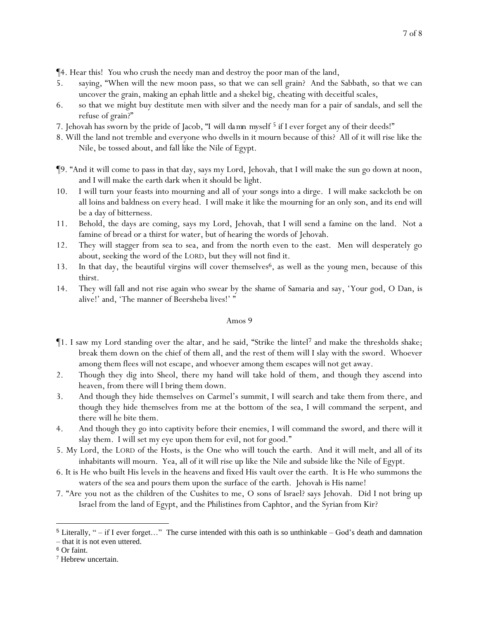¶4. Hear this! *Y*ou who crush the needy man and destroy the poor man of the land,

- 5. saying, "When will the new moon pass, so that we can sell grain? And the Sabbath, so that we can uncover the grain, making an ephah little and a shekel big, cheating with deceitful scales,
- 6. so that we might buy destitute men with silver and the needy man for a pair of sandals, and sell the refuse of grain?"
- 7. Jehovah has sworn by the pride of Jacob, "*I will damn myself* <sup>5</sup> if I ever forget any of their deeds!"
- 8. Will the land not tremble and everyone who dwells in it mourn because of this? All of it will rise like the Nile, be tossed about, and fall like the Nile of Egypt.
- ¶9. "And it will come to pass in that day, says my Lord, Jehovah, that I will make the sun go down at noon, and I will make the earth dark when it should be light.
- 10. I will turn *y*our feasts into mourning and all of *y*our songs into a dirge. I will make sackcloth be on all loins and baldness on every head. I will make it like the mourning for an only son, and its end will be a day of bitterness.
- 11. Behold, the days are coming, says my Lord, Jehovah, that I will send a famine on the land. Not a famine of bread or a thirst for water, but of hearing the words of Jehovah.
- 12. They will stagger from sea to sea, and from the north even to the east. Men will desperately go about, seeking the word of the LORD, but they will not find it.
- 13. In that day, the beautiful virgins will cover themselves<sup>6</sup>, as well as the young men, because of this thirst.
- 14. They will fall and not rise again who swear by the shame of Samaria and say, 'Your god, O Dan, is alive!' and, 'The manner of Beersheba lives!' "

- $\P$ 1. I saw my Lord standing over the altar, and he said, "Strike the lintel<sup>7</sup> and make the thresholds shake; break them down on the chief of them all, and the rest of them will I slay with the sword. Whoever among them flees will not escape, and whoever among them escapes will not get away.
- 2. Though they dig into Sheol, there my hand will take hold of them, and though they ascend into heaven, from there will I bring them down.
- 3. And though they hide themselves on Carmel's summit, I will search and take them from there, and though they hide themselves from me at the bottom of the sea, I will command the serpent, and there will he bite them.
- 4. And though they go into captivity before their enemies, I will command the sword, and there will it slay them. I will set my eye upon them for evil, not for good."
- 5. My Lord, the LORD of the Hosts, is the One who will touch the earth. And it will melt, and all of its inhabitants will mourn. Yea, all of it will rise up like the Nile and subside like the Nile of Egypt.
- 6. It is He who built His levels in the heavens and fixed His vault over the earth. It is He who summons the waters of the sea and pours them upon the surface of the earth. Jehovah is His name!
- 7. "Are *y*ou not as the children of the Cushites to me, O sons of Israel? says Jehovah. Did I not bring up Israel from the land of Egypt, and the Philistines from Caphtor, and the Syrian from Kir?

<sup>5</sup> Literally, " – if I ever forget…" The curse intended with this oath is so unthinkable – God's death and damnation – that it is not even uttered.

<sup>6</sup> Or faint.

<sup>7</sup> Hebrew uncertain.